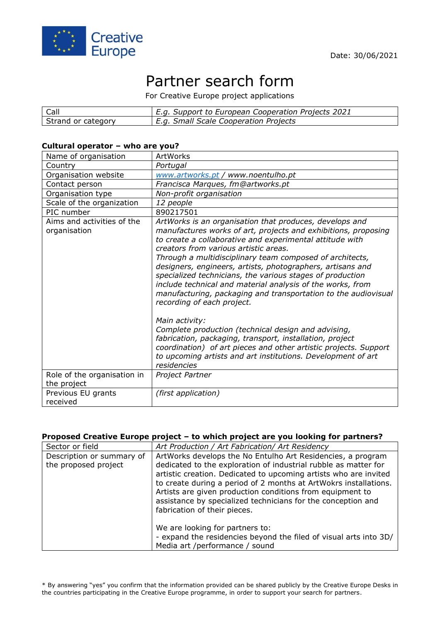

# Partner search form

For Creative Europe project applications

| <b>Call</b>        | E.g. Support to European Cooperation Projects 2021 |
|--------------------|----------------------------------------------------|
| Strand or category | E.g. Small Scale Cooperation Projects              |

#### **Cultural operator – who are you?**

| Name of organisation                       | ArtWorks                                                                                                                                                                                                                                                                                                                                                                                                                                                                                                                                                                                                                                                                                                                                                                                     |
|--------------------------------------------|----------------------------------------------------------------------------------------------------------------------------------------------------------------------------------------------------------------------------------------------------------------------------------------------------------------------------------------------------------------------------------------------------------------------------------------------------------------------------------------------------------------------------------------------------------------------------------------------------------------------------------------------------------------------------------------------------------------------------------------------------------------------------------------------|
| Country                                    | Portugal                                                                                                                                                                                                                                                                                                                                                                                                                                                                                                                                                                                                                                                                                                                                                                                     |
| Organisation website                       | www.artworks.pt / www.noentulho.pt                                                                                                                                                                                                                                                                                                                                                                                                                                                                                                                                                                                                                                                                                                                                                           |
| Contact person                             | Francisca Marques, fm@artworks.pt                                                                                                                                                                                                                                                                                                                                                                                                                                                                                                                                                                                                                                                                                                                                                            |
| Organisation type                          | Non-profit organisation                                                                                                                                                                                                                                                                                                                                                                                                                                                                                                                                                                                                                                                                                                                                                                      |
| Scale of the organization                  | 12 people                                                                                                                                                                                                                                                                                                                                                                                                                                                                                                                                                                                                                                                                                                                                                                                    |
| PIC number                                 | 890217501                                                                                                                                                                                                                                                                                                                                                                                                                                                                                                                                                                                                                                                                                                                                                                                    |
| Aims and activities of the<br>organisation | ArtWorks is an organisation that produces, develops and<br>manufactures works of art, projects and exhibitions, proposing<br>to create a collaborative and experimental attitude with<br>creators from various artistic areas.<br>Through a multidisciplinary team composed of architects,<br>designers, engineers, artists, photographers, artisans and<br>specialized technicians, the various stages of production<br>include technical and material analysis of the works, from<br>manufacturing, packaging and transportation to the audiovisual<br>recording of each project.<br>Main activity:<br>Complete production (technical design and advising,<br>fabrication, packaging, transport, installation, project<br>coordination) of art pieces and other artistic projects. Support |
|                                            | to upcoming artists and art institutions. Development of art<br>residencies                                                                                                                                                                                                                                                                                                                                                                                                                                                                                                                                                                                                                                                                                                                  |
| Role of the organisation in<br>the project | Project Partner                                                                                                                                                                                                                                                                                                                                                                                                                                                                                                                                                                                                                                                                                                                                                                              |
| Previous EU grants<br>received             | (first application)                                                                                                                                                                                                                                                                                                                                                                                                                                                                                                                                                                                                                                                                                                                                                                          |

### **Proposed Creative Europe project – to which project are you looking for partners?**

| Sector or field                                   | Art Production / Art Fabrication/ Art Residency                                                                                                                                                                                                                                                                                                                                                                                     |
|---------------------------------------------------|-------------------------------------------------------------------------------------------------------------------------------------------------------------------------------------------------------------------------------------------------------------------------------------------------------------------------------------------------------------------------------------------------------------------------------------|
| Description or summary of<br>the proposed project | ArtWorks develops the No Entulho Art Residencies, a program<br>dedicated to the exploration of industrial rubble as matter for<br>artistic creation. Dedicated to upcoming artists who are invited<br>to create during a period of 2 months at ArtWokrs installations.<br>Artists are given production conditions from equipment to<br>assistance by specialized technicians for the conception and<br>fabrication of their pieces. |
|                                                   | We are looking for partners to:<br>- expand the residencies beyond the filed of visual arts into 3D/<br>Media art /performance / sound                                                                                                                                                                                                                                                                                              |